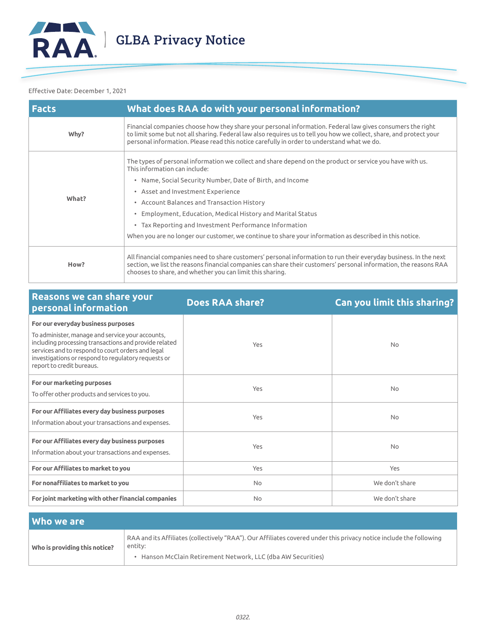

#### Effective Date: December 1, 2021

| <b>Facts</b> | What does RAA do with your personal information?                                                                                                                                                                                                                                                                                |
|--------------|---------------------------------------------------------------------------------------------------------------------------------------------------------------------------------------------------------------------------------------------------------------------------------------------------------------------------------|
| Why?         | Financial companies choose how they share your personal information. Federal law gives consumers the right<br>to limit some but not all sharing. Federal law also requires us to tell you how we collect, share, and protect your<br>personal information. Please read this notice carefully in order to understand what we do. |
| What?        | The types of personal information we collect and share depend on the product or service you have with us.<br>This information can include:                                                                                                                                                                                      |
|              | • Name, Social Security Number, Date of Birth, and Income                                                                                                                                                                                                                                                                       |
|              | • Asset and Investment Experience                                                                                                                                                                                                                                                                                               |
|              | • Account Balances and Transaction History                                                                                                                                                                                                                                                                                      |
|              | • Employment, Education, Medical History and Marital Status                                                                                                                                                                                                                                                                     |
|              | • Tax Reporting and Investment Performance Information                                                                                                                                                                                                                                                                          |
|              | When you are no longer our customer, we continue to share your information as described in this notice.                                                                                                                                                                                                                         |
| How?         | All financial companies need to share customers' personal information to run their everyday business. In the next<br>section, we list the reasons financial companies can share their customers' personal information, the reasons RAA<br>chooses to share, and whether you can limit this sharing.                             |

| Reasons we can share your<br>personal information                                                                                                                                                                                                  | <b>Does RAA share?</b> | <b>Can you limit this sharing?</b> |
|----------------------------------------------------------------------------------------------------------------------------------------------------------------------------------------------------------------------------------------------------|------------------------|------------------------------------|
| For our everyday business purposes                                                                                                                                                                                                                 |                        |                                    |
| To administer, manage and service your accounts,<br>including processing transactions and provide related<br>services and to respond to court orders and legal<br>investigations or respond to regulatory requests or<br>report to credit bureaus. | Yes                    | <b>No</b>                          |
| For our marketing purposes<br>To offer other products and services to you.                                                                                                                                                                         | Yes                    | <b>No</b>                          |
| For our Affiliates every day business purposes<br>Information about your transactions and expenses.                                                                                                                                                | Yes                    | <b>No</b>                          |
| For our Affiliates every day business purposes<br>Information about your transactions and expenses.                                                                                                                                                | Yes                    | <b>No</b>                          |
| For our Affiliates to market to you                                                                                                                                                                                                                | Yes                    | Yes                                |
| For nonaffiliates to market to you                                                                                                                                                                                                                 | <b>No</b>              | We don't share                     |
| For joint marketing with other financial companies                                                                                                                                                                                                 | <b>No</b>              | We don't share                     |

| Who we are                    |                                                                                                                                                                                                |
|-------------------------------|------------------------------------------------------------------------------------------------------------------------------------------------------------------------------------------------|
| Who is providing this notice? | RAA and its Affiliates (collectively "RAA"). Our Affiliates covered under this privacy notice include the following<br>entity:<br>• Hanson McClain Retirement Network, LLC (dba AW Securities) |